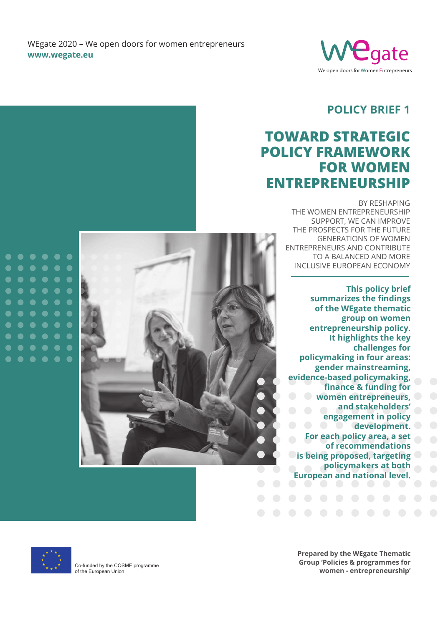WEgate 2020 – We open doors for women entrepreneurs **www.wegate.eu** 



## **Policy brief 1**

# **Toward strategic policy framework FOR WOMEN entrepreneurship**

BY RESHAPING THE WOMEN ENTREPRENEURSHIP SUPPORT, WE CAN IMPROVE THE PROSPECTS FOR THE FUTURE GENERATIONS OF WOMEN ENTREPRENEURS AND CONTRIBUTE TO A BALANCED AND MORE INCLUSIVE EUROPEAN ECONOMY

**This policy brief summarizes the findings of the WEgate thematic group on women entrepreneurship policy. It highlights the key challenges for policymaking in four areas: gender mainstreaming, evidence-based policymaking, finance & funding for women entrepreneurs, and stakeholders' engagement in policy development. For each policy area, a set of recommendations is being proposed, targeting policymakers at both European and national level.**



 $\bullet$  $\bullet$  $\bullet$ 

 $\bullet$  $\bullet$  $\bullet$  $\bullet$ 

●

 $\bullet$ 

 $\bullet$  $\bullet$ 

 $\bullet$  $\bullet$  $\bullet$ 

 $\bullet$  $\bullet$ 

 $\bullet$  $\bullet$ 

 $\bullet$  $\bullet$ 

 $\bullet$  $\bullet$  $\bullet$  $\bullet$ 

> Co-funded by the COSME programme of the European Union

**Prepared by the WEgate Thematic Group 'Policies & programmes for women - entrepreneurship'**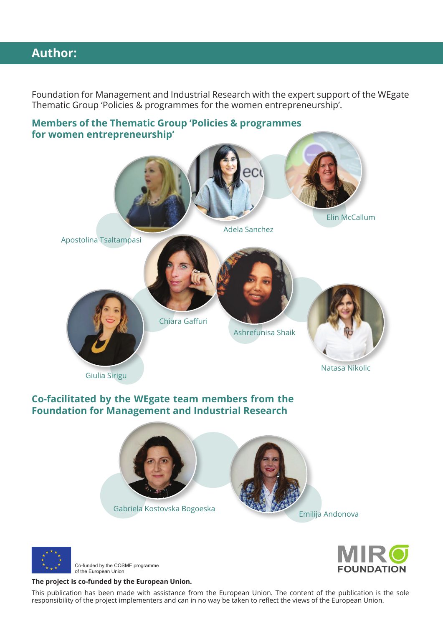## **Author:**

Foundation for Management and Industrial Research with the expert support of the WEgate Thematic Group 'Policies & programmes for the women entrepreneurship'.

### **Members of the Thematic Group 'Policies & programmes for women entrepreneurship'**



### **Co-facilitated by the WEgate team members from the Foundation for Management and Industrial Research**





Co-funded by the COSME programme of the European Union

#### **The project is co-funded by the European Union.**

This publication has been made with assistance from the European Union. The content of the publication is the sole responsibility of the project implementers and can in no way be taken to reflect the views of the European Union.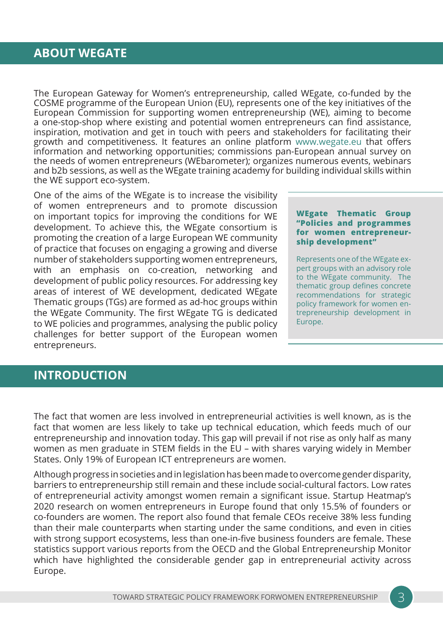### **ABOUT WEGATE**

The European Gateway for Women's entrepreneurship, called WEgate, co-funded by the COSME programme of the European Union (EU), represents one of the key initiatives of the European Commission for supporting women entrepreneurship (WE), aiming to become a one-stop-shop where existing and potential women entrepreneurs can find assistance, inspiration, motivation and get in touch with peers and stakeholders for facilitating their growth and competitiveness. It features an online platform www.wegate.eu that offers information and networking opportunities; commissions pan-European annual survey on the needs of women entrepreneurs (WEbarometer); organizes numerous events, webinars and b2b sessions, as well as the WEgate training academy for building individual skills within the WE support eco-system.

One of the aims of the WEgate is to increase the visibility of women entrepreneurs and to promote discussion on important topics for improving the conditions for WE development. To achieve this, the WEgate consortium is promoting the creation of a large European WE community of practice that focuses on engaging a growing and diverse number of stakeholders supporting women entrepreneurs, with an emphasis on co-creation, networking and development of public policy resources. For addressing key areas of interest of WE development, dedicated WEgate Thematic groups (TGs) are formed as ad-hoc groups within the WEgate Community. The first WEgate TG is dedicated to WE policies and programmes, analysing the public policy challenges for better support of the European women entrepreneurs.

#### **WEgate Thematic Group "Policies and programmes for women entrepreneurship development"**

Represents one of the WEgate expert groups with an advisory role to the WEgate community. The thematic group defines concrete recommendations for strategic policy framework for women entrepreneurship development in Europe.

## **INTRODUCTION**

The fact that women are less involved in entrepreneurial activities is well known, as is the fact that women are less likely to take up technical education, which feeds much of our entrepreneurship and innovation today. This gap will prevail if not rise as only half as many women as men graduate in STEM fields in the EU – with shares varying widely in Member States. Only 19% of European ICT entrepreneurs are women.

Although progress in societies and in legislation has been made to overcome gender disparity, barriers to entrepreneurship still remain and these include social-cultural factors. Low rates of entrepreneurial activity amongst women remain a significant issue. Startup Heatmap's 2020 research on women entrepreneurs in Europe found that only 15.5% of founders or co-founders are women. The report also found that female CEOs receive 38% less funding than their male counterparts when starting under the same conditions, and even in cities with strong support ecosystems, less than one-in-five business founders are female. These statistics support various reports from the OECD and the Global Entrepreneurship Monitor which have highlighted the considerable gender gap in entrepreneurial activity across Europe.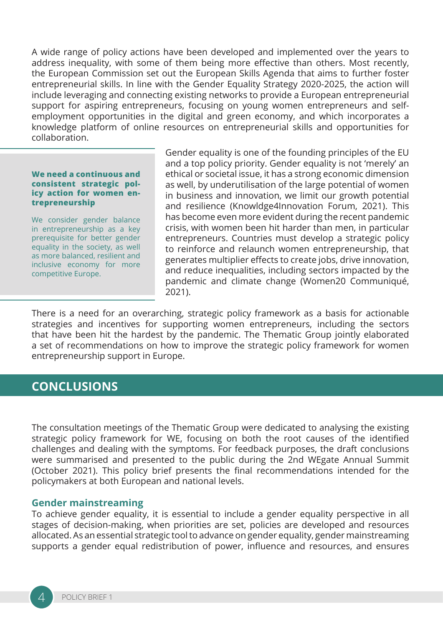A wide range of policy actions have been developed and implemented over the years to address inequality, with some of them being more effective than others. Most recently, the European Commission set out the European Skills Agenda that aims to further foster entrepreneurial skills. In line with the Gender Equality Strategy 2020-2025, the action will include leveraging and connecting existing networks to provide a European entrepreneurial support for aspiring entrepreneurs, focusing on young women entrepreneurs and selfemployment opportunities in the digital and green economy, and which incorporates a knowledge platform of online resources on entrepreneurial skills and opportunities for collaboration.

#### **We need a continuous and consistent strategic policy action for women entrepreneurship**

We consider gender balance in entrepreneurship as a key prerequisite for better gender equality in the society, as well as more balanced, resilient and inclusive economy for more competitive Europe.

Gender equality is one of the founding principles of the EU and a top policy priority. Gender equality is not 'merely' an ethical or societal issue, it has a strong economic dimension as well, by underutilisation of the large potential of women in business and innovation, we limit our growth potential and resilience (Knowldge4Innovation Forum, 2021). This has become even more evident during the recent pandemic crisis, with women been hit harder than men, in particular entrepreneurs. Countries must develop a strategic policy to reinforce and relaunch women entrepreneurship, that generates multiplier effects to create jobs, drive innovation, and reduce inequalities, including sectors impacted by the pandemic and climate change (Women20 Communiqué, 2021).

There is a need for an overarching, strategic policy framework as a basis for actionable strategies and incentives for supporting women entrepreneurs, including the sectors that have been hit the hardest by the pandemic. The Thematic Group jointly elaborated a set of recommendations on how to improve the strategic policy framework for women entrepreneurship support in Europe.

### **CONCLUSIONS**

The consultation meetings of the Thematic Group were dedicated to analysing the existing strategic policy framework for WE, focusing on both the root causes of the identified challenges and dealing with the symptoms. For feedback purposes, the draft conclusions were summarised and presented to the public during the 2nd WEgate Annual Summit (October 2021). This policy brief presents the final recommendations intended for the policymakers at both European and national levels.

#### **Gender mainstreaming**

To achieve gender equality, it is essential to include a gender equality perspective in all stages of decision-making, when priorities are set, policies are developed and resources allocated. As an essential strategic tool to advance on gender equality, gender mainstreaming supports a gender equal redistribution of power, influence and resources, and ensures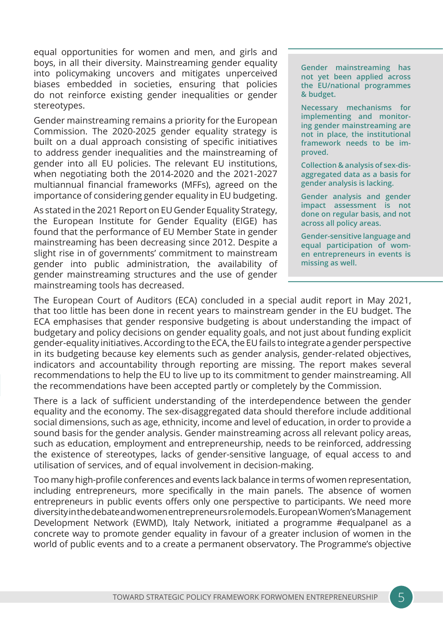equal opportunities for women and men, and girls and boys, in all their diversity. Mainstreaming gender equality into policymaking uncovers and mitigates unperceived biases embedded in societies, ensuring that policies do not reinforce existing gender inequalities or gender stereotypes.

Gender mainstreaming remains a priority for the European Commission. The 2020-2025 gender equality strategy is built on a dual approach consisting of specific initiatives to address gender inequalities and the mainstreaming of gender into all EU policies. The relevant EU institutions, when negotiating both the 2014-2020 and the 2021-2027 multiannual financial frameworks (MFFs), agreed on the importance of considering gender equality in EU budgeting.

As stated in the 2021 Report on EU Gender Equality Strategy, the European Institute for Gender Equality (EIGE) has found that the performance of EU Member State in gender mainstreaming has been decreasing since 2012. Despite a slight rise in of governments' commitment to mainstream gender into public administration, the availability of gender mainstreaming structures and the use of gender mainstreaming tools has decreased.

**Gender mainstreaming has not yet been applied across the EU/national programmes & budget.** 

**Necessary mechanisms for implementing and monitoring gender mainstreaming are not in place, the institutional framework needs to be improved.**

**Collection & analysis of sex-disaggregated data as a basis for gender analysis is lacking.** 

**Gender analysis and gender impact assessment is not done on regular basis, and not across all policy areas.** 

**Gender-sensitive language and equal participation of women entrepreneurs in events is missing as well.** 

The European Court of Auditors (ECA) concluded in a special audit report in May 2021, that too little has been done in recent years to mainstream gender in the EU budget. The ECA emphasises that gender responsive budgeting is about understanding the impact of budgetary and policy decisions on gender equality goals, and not just about funding explicit gender-equality initiatives. According to the ECA, the EU fails to integrate a gender perspective in its budgeting because key elements such as gender analysis, gender-related objectives, indicators and accountability through reporting are missing. The report makes several recommendations to help the EU to live up to its commitment to gender mainstreaming. All the recommendations have been accepted partly or completely by the Commission.

There is a lack of sufficient understanding of the interdependence between the gender equality and the economy. The sex-disaggregated data should therefore include additional social dimensions, such as age, ethnicity, income and level of education, in order to provide a sound basis for the gender analysis. Gender mainstreaming across all relevant policy areas, such as education, employment and entrepreneurship, needs to be reinforced, addressing the existence of stereotypes, lacks of gender-sensitive language, of equal access to and utilisation of services, and of equal involvement in decision-making.

Too many high-profile conferences and events lack balance in terms of women representation, including entrepreneurs, more specifically in the main panels. The absence of women entrepreneurs in public events offers only one perspective to participants. We need more diversity in the debate and women entrepreneurs role models. European Women's Management Development Network (EWMD), Italy Network, initiated a programme #equalpanel as a concrete way to promote gender equality in favour of a greater inclusion of women in the world of public events and to a create a permanent observatory. The Programme's objective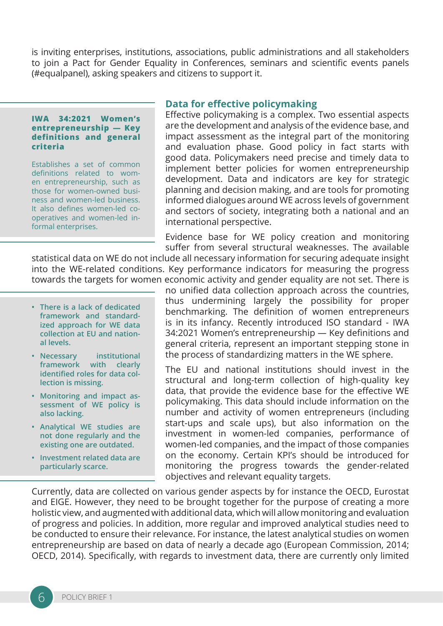is inviting enterprises, institutions, associations, public administrations and all stakeholders to join a Pact for Gender Equality in Conferences, seminars and scientific events panels (#equalpanel), asking speakers and citizens to support it.

#### **IWA 34:2021 Women's entrepreneurship — Key definitions and general criteria**

Establishes a set of common definitions related to women entrepreneurship, such as those for women-owned business and women-led business. It also defines women-led cooperatives and women-led informal enterprises.

#### **Data for effective policymaking**

Effective policymaking is a complex. Two essential aspects are the development and analysis of the evidence base, and impact assessment as the integral part of the monitoring and evaluation phase. Good policy in fact starts with good data. Policymakers need precise and timely data to implement better policies for women entrepreneurship development. Data and indicators are key for strategic planning and decision making, and are tools for promoting informed dialogues around WE across levels of government and sectors of society, integrating both a national and an international perspective.

Evidence base for WE policy creation and monitoring suffer from several structural weaknesses. The available

statistical data on WE do not include all necessary information for securing adequate insight into the WE-related conditions. Key performance indicators for measuring the progress towards the targets for women economic activity and gender equality are not set. There is

- **• There is a lack of dedicated framework and standardized approach for WE data collection at EU and national levels.**
- **• Necessary institutional framework with clearly identified roles for data collection is missing.**
- **• Monitoring and impact assessment of WE policy is also lacking.**
- **• Analytical WE studies are not done regularly and the existing one are outdated.**
- **• Investment related data are particularly scarce.**

no unified data collection approach across the countries, thus undermining largely the possibility for proper benchmarking. The definition of women entrepreneurs is in its infancy. Recently introduced ISO standard - IWA 34:2021 Women's entrepreneurship — Key definitions and general criteria, represent an important stepping stone in the process of standardizing matters in the WE sphere.

The EU and national institutions should invest in the structural and long-term collection of high-quality key data, that provide the evidence base for the effective WE policymaking. This data should include information on the number and activity of women entrepreneurs (including start-ups and scale ups), but also information on the investment in women-led companies, performance of women-led companies, and the impact of those companies on the economy. Certain KPI's should be introduced for monitoring the progress towards the gender-related objectives and relevant equality targets.

Currently, data are collected on various gender aspects by for instance the OECD, Eurostat and EIGE. However, they need to be brought together for the purpose of creating a more holistic view, and augmented with additional data, which will allow monitoring and evaluation of progress and policies. In addition, more regular and improved analytical studies need to be conducted to ensure their relevance. For instance, the latest analytical studies on women entrepreneurship are based on data of nearly a decade ago (European Commission, 2014; OECD, 2014). Specifically, with regards to investment data, there are currently only limited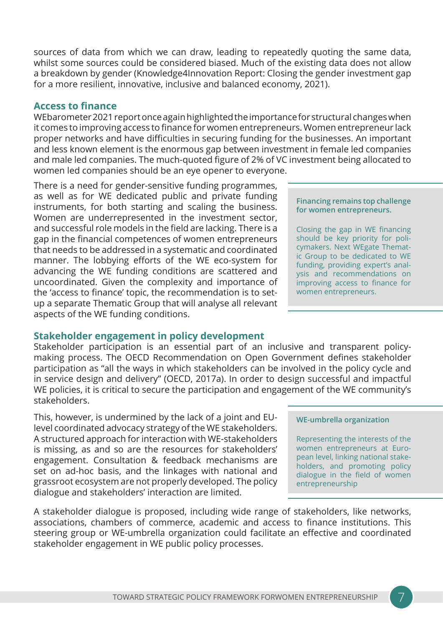sources of data from which we can draw, leading to repeatedly quoting the same data, whilst some sources could be considered biased. Much of the existing data does not allow a breakdown by gender (Knowledge4Innovation Report: Closing the gender investment gap for a more resilient, innovative, inclusive and balanced economy, 2021).

### **Access to finance**

WEbarometer 2021 report once again highlighted the importance for structural changes when it comes to improving access to finance for women entrepreneurs. Women entrepreneur lack proper networks and have difficulties in securing funding for the businesses. An important and less known element is the enormous gap between investment in female led companies and male led companies. The much-quoted figure of 2% of VC investment being allocated to women led companies should be an eye opener to everyone.

There is a need for gender-sensitive funding programmes, as well as for WE dedicated public and private funding instruments, for both starting and scaling the business. Women are underrepresented in the investment sector, and successful role models in the field are lacking. There is a gap in the financial competences of women entrepreneurs that needs to be addressed in a systematic and coordinated manner. The lobbying efforts of the WE eco-system for advancing the WE funding conditions are scattered and uncoordinated. Given the complexity and importance of the 'access to finance' topic, the recommendation is to setup a separate Thematic Group that will analyse all relevant aspects of the WE funding conditions.

### **Stakeholder engagement in policy development**

Stakeholder participation is an essential part of an inclusive and transparent policymaking process. The OECD Recommendation on Open Government defines stakeholder participation as "all the ways in which stakeholders can be involved in the policy cycle and in service design and delivery" (OECD, 2017a). In order to design successful and impactful WE policies, it is critical to secure the participation and engagement of the WE community's stakeholders.

This, however, is undermined by the lack of a joint and EUlevel coordinated advocacy strategy of the WE stakeholders. A structured approach for interaction with WE-stakeholders is missing, as and so are the resources for stakeholders' engagement. Consultation & feedback mechanisms are set on ad-hoc basis, and the linkages with national and grassroot ecosystem are not properly developed. The policy dialogue and stakeholders' interaction are limited.

A stakeholder dialogue is proposed, including wide range of stakeholders, like networks, associations, chambers of commerce, academic and access to finance institutions. This steering group or WE-umbrella organization could facilitate an effective and coordinated stakeholder engagement in WE public policy processes.

## **WE-umbrella organization**

Representing the interests of the women entrepreneurs at European level, linking national stakeholders, and promoting policy dialogue in the field of women entrepreneurship

#### **Financing remains top challenge for women entrepreneurs.**

Closing the gap in WE financing should be key priority for policymakers. Next WEgate Thematic Group to be dedicated to WE funding, providing expert's analysis and recommendations on improving access to finance for women entrepreneurs.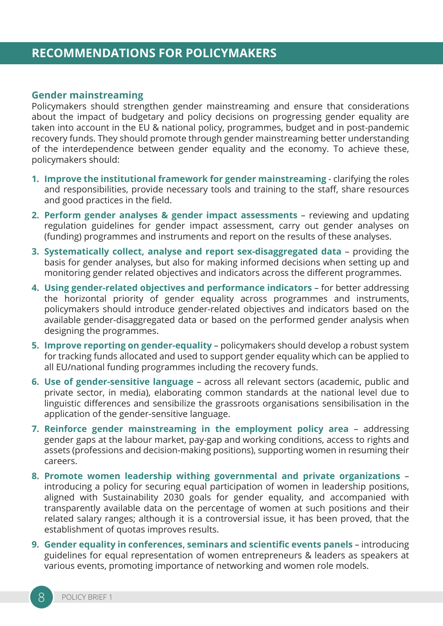## **RECOMMENDATIONS FOR POLICYMAKERS**

#### **Gender mainstreaming**

Policymakers should strengthen gender mainstreaming and ensure that considerations about the impact of budgetary and policy decisions on progressing gender equality are taken into account in the EU & national policy, programmes, budget and in post-pandemic recovery funds. They should promote through gender mainstreaming better understanding of the interdependence between gender equality and the economy. To achieve these, policymakers should:

- **1. Improve the institutional framework for gender mainstreaming** clarifying the roles and responsibilities, provide necessary tools and training to the staff, share resources and good practices in the field.
- **2. Perform gender analyses & gender impact assessments**  reviewing and updating regulation guidelines for gender impact assessment, carry out gender analyses on (funding) programmes and instruments and report on the results of these analyses.
- **3. Systematically collect, analyse and report sex-disaggregated data**  providing the basis for gender analyses, but also for making informed decisions when setting up and monitoring gender related objectives and indicators across the different programmes.
- **4. Using gender-related objectives and performance indicators** for better addressing the horizontal priority of gender equality across programmes and instruments, policymakers should introduce gender-related objectives and indicators based on the available gender-disaggregated data or based on the performed gender analysis when designing the programmes.
- **5. Improve reporting on gender-equality** policymakers should develop a robust system for tracking funds allocated and used to support gender equality which can be applied to all EU/national funding programmes including the recovery funds.
- **6. Use of gender-sensitive language** across all relevant sectors (academic, public and private sector, in media), elaborating common standards at the national level due to linguistic differences and sensibilize the grassroots organisations sensibilisation in the application of the gender-sensitive language.
- **7. Reinforce gender mainstreaming in the employment policy area** addressing gender gaps at the labour market, pay-gap and working conditions, access to rights and assets (professions and decision-making positions), supporting women in resuming their careers.
- **8. Promote women leadership withing governmental and private organizations** introducing a policy for securing equal participation of women in leadership positions, aligned with Sustainability 2030 goals for gender equality, and accompanied with transparently available data on the percentage of women at such positions and their related salary ranges; although it is a controversial issue, it has been proved, that the establishment of quotas improves results.
- **9. Gender equality in conferences, seminars and scientific events panels** introducing guidelines for equal representation of women entrepreneurs & leaders as speakers at various events, promoting importance of networking and women role models.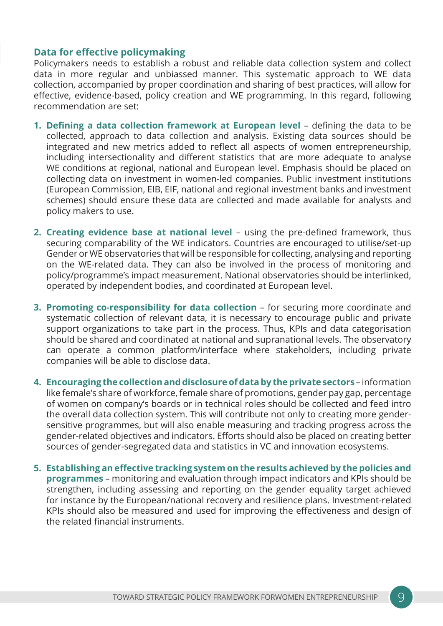### **Data for effective policymaking**

Policymakers needs to establish a robust and reliable data collection system and collect data in more regular and unbiassed manner. This systematic approach to WE data collection, accompanied by proper coordination and sharing of best practices, will allow for effective, evidence-based, policy creation and WE programming. In this regard, following recommendation are set:

- **1. Defining a data collection framework at European level** defining the data to be collected, approach to data collection and analysis. Existing data sources should be integrated and new metrics added to reflect all aspects of women entrepreneurship, including intersectionality and different statistics that are more adequate to analyse WE conditions at regional, national and European level. Emphasis should be placed on collecting data on investment in women-led companies. Public investment institutions (European Commission, EIB, EIF, national and regional investment banks and investment schemes) should ensure these data are collected and made available for analysts and policy makers to use.
- **2. Creating evidence base at national level** using the pre-defined framework, thus securing comparability of the WE indicators. Countries are encouraged to utilise/set-up Gender or WE observatories that will be responsible for collecting, analysing and reporting on the WE-related data. They can also be involved in the process of monitoring and policy/programme's impact measurement. National observatories should be interlinked, operated by independent bodies, and coordinated at European level.
- **3. Promoting co-responsibility for data collection** for securing more coordinate and systematic collection of relevant data, it is necessary to encourage public and private support organizations to take part in the process. Thus, KPIs and data categorisation should be shared and coordinated at national and supranational levels. The observatory can operate a common platform/interface where stakeholders, including private companies will be able to disclose data.
- **4. Encouraging the collection and disclosure of data by the private sectors** information like female's share of workforce, female share of promotions, gender pay gap, percentage of women on company's boards or in technical roles should be collected and feed intro the overall data collection system. This will contribute not only to creating more gendersensitive programmes, but will also enable measuring and tracking progress across the gender-related objectives and indicators. Efforts should also be placed on creating better sources of gender-segregated data and statistics in VC and innovation ecosystems.
- **5. Establishing an effective tracking system on the results achieved by the policies and programmes** – monitoring and evaluation through impact indicators and KPIs should be strengthen, including assessing and reporting on the gender equality target achieved for instance by the European/national recovery and resilience plans. Investment-related KPIs should also be measured and used for improving the effectiveness and design of the related financial instruments.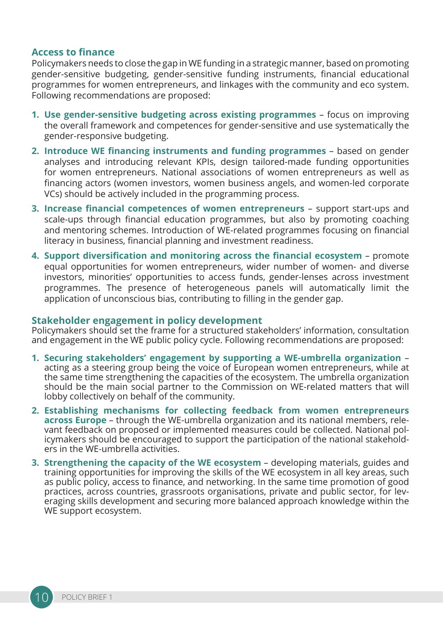### **Access to finance**

Policymakers needs to close the gap in WE funding in a strategic manner, based on promoting gender-sensitive budgeting, gender-sensitive funding instruments, financial educational programmes for women entrepreneurs, and linkages with the community and eco system. Following recommendations are proposed:

- **1. Use gender-sensitive budgeting across existing programmes** focus on improving the overall framework and competences for gender-sensitive and use systematically the gender-responsive budgeting.
- **2. Introduce WE financing instruments and funding programmes** based on gender analyses and introducing relevant KPIs, design tailored-made funding opportunities for women entrepreneurs. National associations of women entrepreneurs as well as financing actors (women investors, women business angels, and women-led corporate VCs) should be actively included in the programming process.
- **3. Increase financial competences of women entrepreneurs** support start-ups and scale-ups through financial education programmes, but also by promoting coaching and mentoring schemes. Introduction of WE-related programmes focusing on financial literacy in business, financial planning and investment readiness.
- **4. Support diversification and monitoring across the financial ecosystem** promote equal opportunities for women entrepreneurs, wider number of women- and diverse investors, minorities' opportunities to access funds, gender-lenses across investment programmes. The presence of heterogeneous panels will automatically limit the application of unconscious bias, contributing to filling in the gender gap.

#### **Stakeholder engagement in policy development**

Policymakers should set the frame for a structured stakeholders' information, consultation and engagement in the WE public policy cycle. Following recommendations are proposed:

- **1. Securing stakeholders' engagement by supporting a WE-umbrella organization** acting as a steering group being the voice of European women entrepreneurs, while at the same time strengthening the capacities of the ecosystem. The umbrella organization should be the main social partner to the Commission on WE-related matters that will lobby collectively on behalf of the community.
- **2. Establishing mechanisms for collecting feedback from women entrepreneurs across Europe** – through the WE-umbrella organization and its national members, relevant feedback on proposed or implemented measures could be collected. National policymakers should be encouraged to support the participation of the national stakeholders in the WE-umbrella activities.
- **3. Strengthening the capacity of the WE ecosystem** developing materials, guides and training opportunities for improving the skills of the WE ecosystem in all key areas, such as public policy, access to finance, and networking. In the same time promotion of good practices, across countries, grassroots organisations, private and public sector, for leveraging skills development and securing more balanced approach knowledge within the WE support ecosystem.